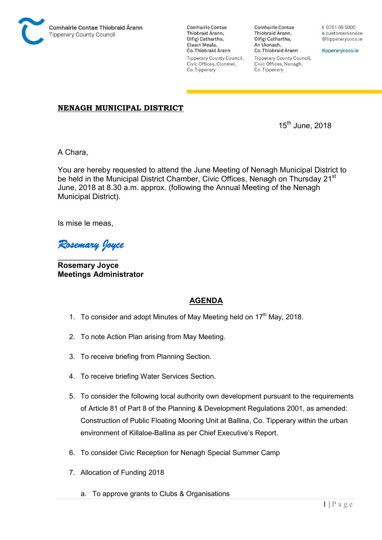

**Comhairle Contae** Thiobraid Árann, Oifigí Cathartha, Cluain Meala, Co. Thiobraid Árann **Tipperary County Council,** Civic Offices, Clonmel, Co. Tipperary

Comhairle Contae Thiobraid Árann, Oifigí Cathartha, An tAonach, Co. Thiobraid Árann **Tipperary County Council,** 

Civic Offices, Nenagh,

Co. Tipperary

t 0761 06 5000 e customerservice @tipperarycoco.ie

tipperarycoco.ie

## NENAGH MUNICIPAL DISTRICT

 $15<sup>th</sup>$  June, 2018

A Chara,

You are hereby requested to attend the June Meeting of Nenagh Municipal District to be held in the Municipal District Chamber, Civic Offices, Nenagh on Thursday 21<sup>st</sup> June, 2018 at 8.30 a.m. approx. (following the Annual Meeting of the Nenagh Municipal District).

Is mise le meas,

*Rosemary Joyce* 

 $\overline{\phantom{a}}$  , where  $\overline{\phantom{a}}$ Rosemary Joyce Meetings Administrator

## AGENDA

- 1. To consider and adopt Minutes of May Meeting held on  $17<sup>th</sup>$  May, 2018.
- 2. To note Action Plan arising from May Meeting.
- 3. To receive briefing from Planning Section.
- 4. To receive briefing Water Services Section.
- 5. To consider the following local authority own development pursuant to the requirements of Article 81 of Part 8 of the Planning & Development Regulations 2001, as amended: Construction of Public Floating Mooring Unit at Ballina, Co. Tipperary within the urban environment of Killaloe-Ballina as per Chief Executive's Report.
- 6. To consider Civic Reception for Nenagh Special Summer Camp
- 7. Allocation of Funding 2018
	- a. To approve grants to Clubs & Organisations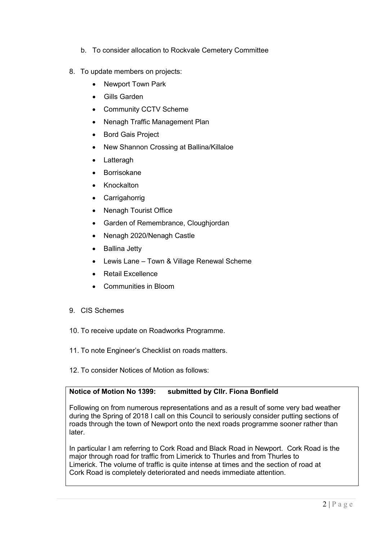- b. To consider allocation to Rockvale Cemetery Committee
- 8. To update members on projects:
	- Newport Town Park
	- Gills Garden
	- Community CCTV Scheme
	- Nenagh Traffic Management Plan
	- Bord Gais Project
	- New Shannon Crossing at Ballina/Killaloe
	- Latteragh
	- Borrisokane
	- Knockalton
	- Carrigahorrig
	- Nenagh Tourist Office
	- Garden of Remembrance, Cloughjordan
	- Nenagh 2020/Nenagh Castle
	- Ballina Jetty
	- Lewis Lane Town & Village Renewal Scheme
	- Retail Excellence
	- Communities in Bloom
- 9. CIS Schemes
- 10. To receive update on Roadworks Programme.
- 11. To note Engineer's Checklist on roads matters.
- 12. To consider Notices of Motion as follows:

## Notice of Motion No 1399: submitted by Cllr. Fiona Bonfield

Following on from numerous representations and as a result of some very bad weather during the Spring of 2018 I call on this Council to seriously consider putting sections of roads through the town of Newport onto the next roads programme sooner rather than later.

In particular I am referring to Cork Road and Black Road in Newport. Cork Road is the major through road for traffic from Limerick to Thurles and from Thurles to Limerick. The volume of traffic is quite intense at times and the section of road at Cork Road is completely deteriorated and needs immediate attention.